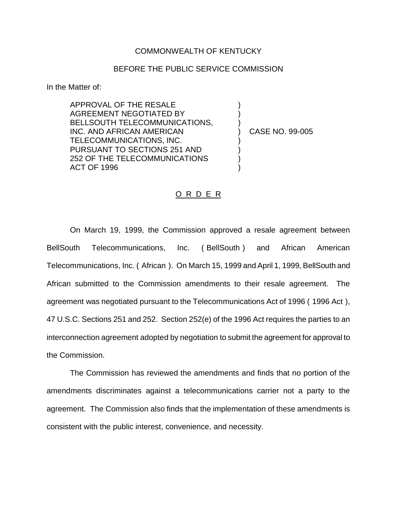## COMMONWEALTH OF KENTUCKY

## BEFORE THE PUBLIC SERVICE COMMISSION

In the Matter of:

APPROVAL OF THE RESALE AGREEMENT NEGOTIATED BY BELLSOUTH TELECOMMUNICATIONS, INC. AND AFRICAN AMERICAN TELECOMMUNICATIONS, INC. PURSUANT TO SECTIONS 251 AND 252 OF THE TELECOMMUNICATIONS ACT OF 1996

) CASE NO. 99-005

) ) )

) ) ) )

## O R D E R

On March 19, 1999, the Commission approved a resale agreement between BellSouth Telecommunications, Inc. ( BellSouth ) and African American Telecommunications, Inc. ( African ). On March 15, 1999 and April 1, 1999, BellSouth and African submitted to the Commission amendments to their resale agreement. The agreement was negotiated pursuant to the Telecommunications Act of 1996 ( 1996 Act ), 47 U.S.C. Sections 251 and 252. Section 252(e) of the 1996 Act requires the parties to an interconnection agreement adopted by negotiation to submit the agreement for approval to the Commission.

The Commission has reviewed the amendments and finds that no portion of the amendments discriminates against a telecommunications carrier not a party to the agreement. The Commission also finds that the implementation of these amendments is consistent with the public interest, convenience, and necessity.